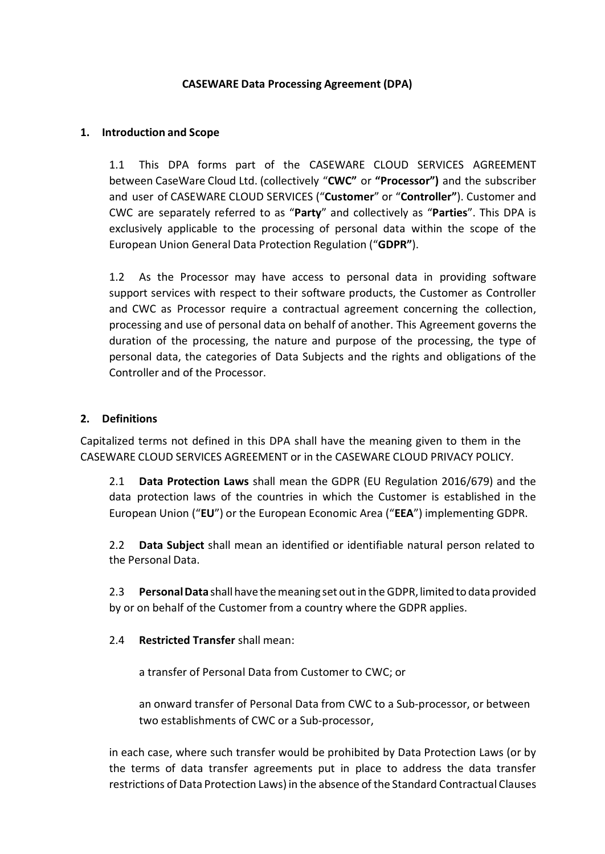## **CASEWARE Data Processing Agreement (DPA)**

## **1. Introduction and Scope**

1.1 This DPA forms part of the CASEWARE CLOUD SERVICES AGREEMENT between CaseWare Cloud Ltd. (collectively "**CWC"** or **"Processor")** and the subscriber and user of CASEWARE CLOUD SERVICES ("**Customer**" or "**Controller"**). Customer and CWC are separately referred to as "**Party**" and collectively as "**Parties**". This DPA is exclusively applicable to the processing of personal data within the scope of the European Union General Data Protection Regulation ("**GDPR"**).

1.2 As the Processor may have access to personal data in providing software support services with respect to their software products, the Customer as Controller and CWC as Processor require a contractual agreement concerning the collection, processing and use of personal data on behalf of another. This Agreement governs the duration of the processing, the nature and purpose of the processing, the type of personal data, the categories of Data Subjects and the rights and obligations of the Controller and of the Processor.

## **2. Definitions**

Capitalized terms not defined in this DPA shall have the meaning given to them in the CASEWARE CLOUD SERVICES AGREEMENT or in the CASEWARE CLOUD PRIVACY POLICY.

2.1 **Data Protection Laws** shall mean the GDPR (EU Regulation 2016/679) and the data protection laws of the countries in which the Customer is established in the European Union ("**EU**") or the European Economic Area ("**EEA**") implementing GDPR.

2.2 **Data Subject** shall mean an identified or identifiable natural person related to the Personal Data.

2.3 **PersonalData** shallhavethemeaning set outin the GDPR, limited to data provided by or on behalf of the Customer from a country where the GDPR applies.

## 2.4 **Restricted Transfer** shall mean:

a transfer of Personal Data from Customer to CWC; or

an onward transfer of Personal Data from CWC to a Sub-processor, or between two establishments of CWC or a Sub-processor,

in each case, where such transfer would be prohibited by Data Protection Laws (or by the terms of data transfer agreements put in place to address the data transfer restrictions of Data Protection Laws) in the absence of the Standard Contractual Clauses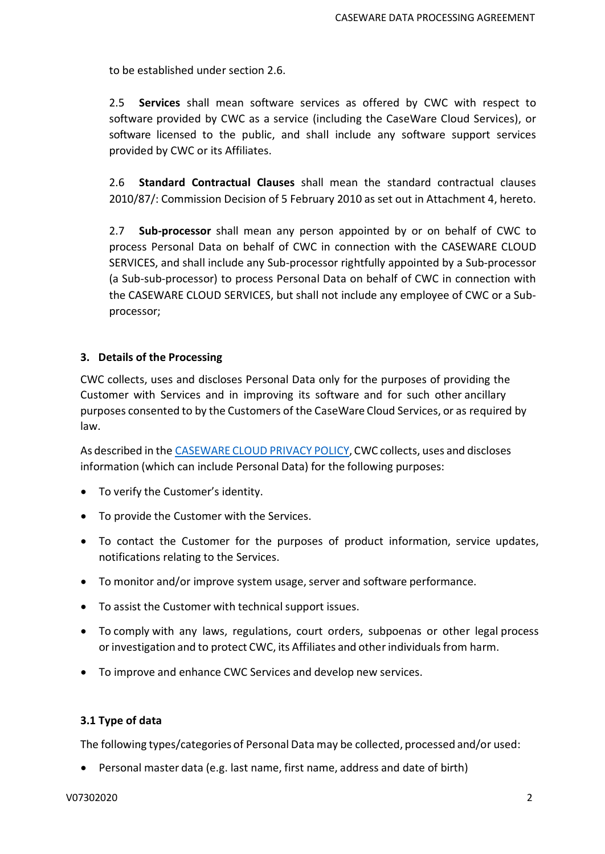to be established under section 2.6.

2.5 **Services** shall mean software services as offered by CWC with respect to software provided by CWC as a service (including the CaseWare Cloud Services), or software licensed to the public, and shall include any software support services provided by CWC or its Affiliates.

2.6 **Standard Contractual Clauses** shall mean the standard contractual clauses 2010/87/: Commission Decision of 5 February 2010 as set out in Attachment 4, hereto.

2.7 **Sub-processor** shall mean any person appointed by or on behalf of CWC to process Personal Data on behalf of CWC in connection with the CASEWARE CLOUD SERVICES, and shall include any Sub-processor rightfully appointed by a Sub-processor (a Sub-sub-processor) to process Personal Data on behalf of CWC in connection with the CASEWARE CLOUD SERVICES, but shall not include any employee of CWC or a Subprocessor;

## **3. Details of the Processing**

CWC collects, uses and discloses Personal Data only for the purposes of providing the Customer with Services and in improving its software and for such other ancillary purposes consented to by the Customers of the CaseWare Cloud Services, or as required by law.

As described in the [CASEWARE](https://www.caseware.com/generic/privacy-policy-caseware-cloud) CLOUD PRIVACY POLICY, CWC collects, uses and discloses information (which can include Personal Data) for the following purposes:

- To verify the Customer's identity.
- To provide the Customer with the Services.
- To contact the Customer for the purposes of product information, service updates, notifications relating to the Services.
- To monitor and/or improve system usage, server and software performance.
- To assist the Customer with technical support issues.
- To comply with any laws, regulations, court orders, subpoenas or other legal process or investigation and to protect CWC, its Affiliates and other individuals from harm.
- To improve and enhance CWC Services and develop new services.

## **3.1 Type of data**

The following types/categories of Personal Data may be collected, processed and/or used:

• Personal master data (e.g. last name, first name, address and date of birth)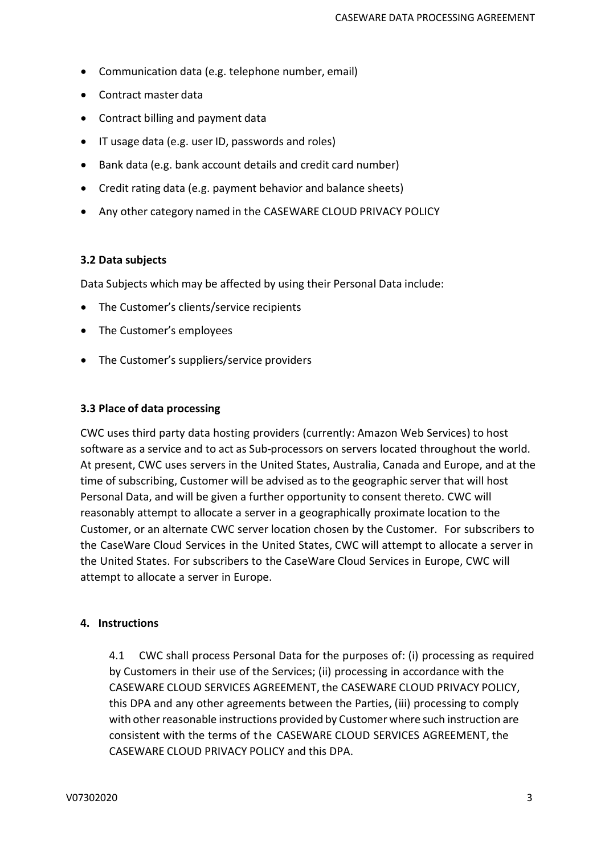- Communication data (e.g. telephone number, email)
- Contract master data
- Contract billing and payment data
- IT usage data (e.g. user ID, passwords and roles)
- Bank data (e.g. bank account details and credit card number)
- Credit rating data (e.g. payment behavior and balance sheets)
- Any other category named in the CASEWARE CLOUD PRIVACY POLICY

#### **3.2 Data subjects**

Data Subjects which may be affected by using their Personal Data include:

- The Customer's clients/service recipients
- The Customer's employees
- The Customer's suppliers/service providers

#### **3.3 Place of data processing**

CWC uses third party data hosting providers (currently: Amazon Web Services) to host software as a service and to act as Sub-processors on servers located throughout the world. At present, CWC uses servers in the United States, Australia, Canada and Europe, and at the time of subscribing, Customer will be advised as to the geographic server that will host Personal Data, and will be given a further opportunity to consent thereto. CWC will reasonably attempt to allocate a server in a geographically proximate location to the Customer, or an alternate CWC server location chosen by the Customer. For subscribers to the CaseWare Cloud Services in the United States, CWC will attempt to allocate a server in the United States. For subscribers to the CaseWare Cloud Services in Europe, CWC will attempt to allocate a server in Europe.

#### **4. Instructions**

4.1 CWC shall process Personal Data for the purposes of: (i) processing as required by Customers in their use of the Services; (ii) processing in accordance with the CASEWARE CLOUD SERVICES AGREEMENT, the CASEWARE CLOUD PRIVACY POLICY, this DPA and any other agreements between the Parties, (iii) processing to comply with other reasonable instructions provided by Customer where such instruction are consistent with the terms of the CASEWARE CLOUD SERVICES AGREEMENT, the CASEWARE CLOUD PRIVACY POLICY and this DPA.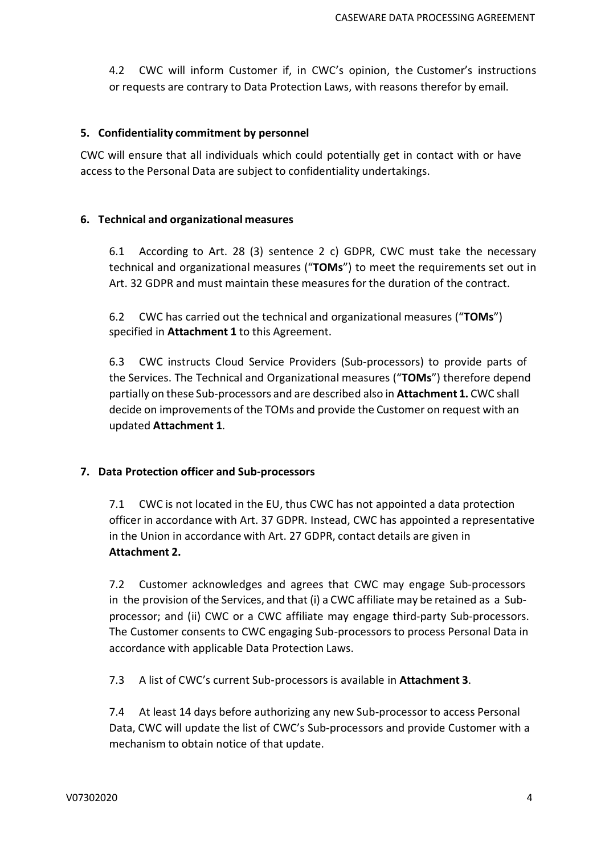4.2 CWC will inform Customer if, in CWC's opinion, the Customer's instructions or requests are contrary to Data Protection Laws, with reasons therefor by email.

#### **5. Confidentiality commitment by personnel**

CWC will ensure that all individuals which could potentially get in contact with or have access to the Personal Data are subject to confidentiality undertakings.

#### **6. Technical and organizational measures**

6.1 According to Art. 28 (3) sentence 2 c) GDPR, CWC must take the necessary technical and organizational measures ("**TOMs**") to meet the requirements set out in Art. 32 GDPR and must maintain these measures for the duration of the contract.

6.2 CWC has carried out the technical and organizational measures ("**TOMs**") specified in **Attachment 1** to this Agreement.

6.3 CWC instructs Cloud Service Providers (Sub-processors) to provide parts of the Services. The Technical and Organizational measures ("**TOMs**") therefore depend partially on these Sub-processors and are described also in **Attachment 1.** CWC shall decide on improvements of the TOMs and provide the Customer on request with an updated **Attachment 1**.

## **7. Data Protection officer and Sub-processors**

7.1 CWC is not located in the EU, thus CWC has not appointed a data protection officer in accordance with Art. 37 GDPR. Instead, CWC has appointed a representative in the Union in accordance with Art. 27 GDPR, contact details are given in **Attachment 2.**

7.2 Customer acknowledges and agrees that CWC may engage Sub-processors in the provision of the Services, and that (i) a CWC affiliate may be retained as a Subprocessor; and (ii) CWC or a CWC affiliate may engage third-party Sub-processors. The Customer consents to CWC engaging Sub-processors to process Personal Data in accordance with applicable Data Protection Laws.

7.3 A list of CWC's current Sub-processors is available in **Attachment 3**.

7.4 At least 14 days before authorizing any new Sub-processor to access Personal Data, CWC will update the list of CWC's Sub-processors and provide Customer with a mechanism to obtain notice of that update.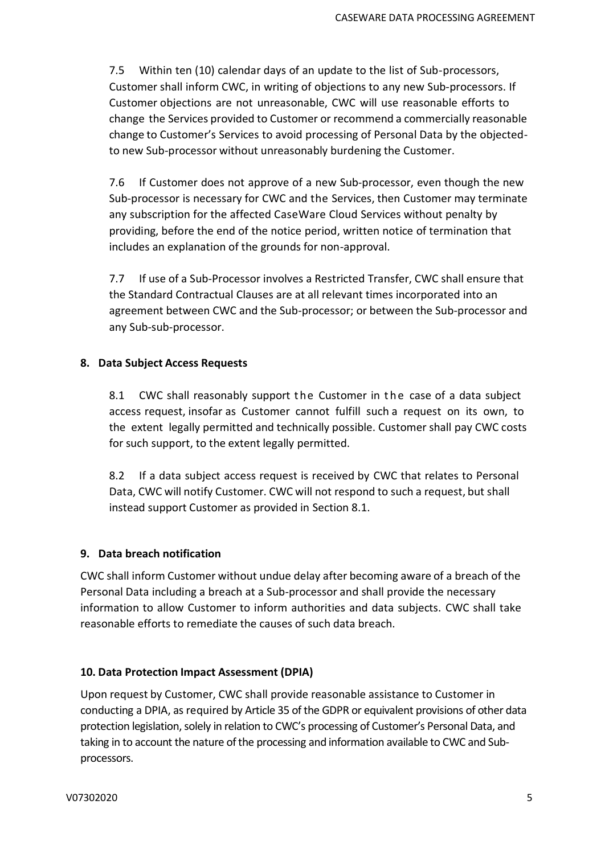7.5 Within ten (10) calendar days of an update to the list of Sub-processors, Customer shall inform CWC, in writing of objections to any new Sub-processors. If Customer objections are not unreasonable, CWC will use reasonable efforts to change the Services provided to Customer or recommend a commercially reasonable change to Customer's Services to avoid processing of Personal Data by the objectedto new Sub-processor without unreasonably burdening the Customer.

7.6 If Customer does not approve of a new Sub-processor, even though the new Sub-processor is necessary for CWC and the Services, then Customer may terminate any subscription for the affected CaseWare Cloud Services without penalty by providing, before the end of the notice period, written notice of termination that includes an explanation of the grounds for non-approval.

7.7 If use of a Sub-Processor involves a Restricted Transfer, CWC shall ensure that the Standard Contractual Clauses are at all relevant times incorporated into an agreement between CWC and the Sub-processor; or between the Sub-processor and any Sub-sub-processor.

#### **8. Data Subject Access Requests**

8.1 CWC shall reasonably support the Customer in the case of a data subject access request, insofar as Customer cannot fulfill such a request on its own, to the extent legally permitted and technically possible. Customer shall pay CWC costs for such support, to the extent legally permitted.

8.2 If a data subject access request is received by CWC that relates to Personal Data, CWC will notify Customer. CWC will not respond to such a request, but shall instead support Customer as provided in Section 8.1.

## **9. Data breach notification**

CWC shall inform Customer without undue delay after becoming aware of a breach of the Personal Data including a breach at a Sub-processor and shall provide the necessary information to allow Customer to inform authorities and data subjects. CWC shall take reasonable efforts to remediate the causes of such data breach.

## **10. Data Protection Impact Assessment (DPIA)**

Upon request by Customer, CWC shall provide reasonable assistance to Customer in conducting a DPIA, as required by Article 35 of the GDPR or equivalent provisions of other data protection legislation, solely in relation to CWC's processing of Customer's Personal Data, and taking in to account the nature of the processing and information available to CWC and Subprocessors.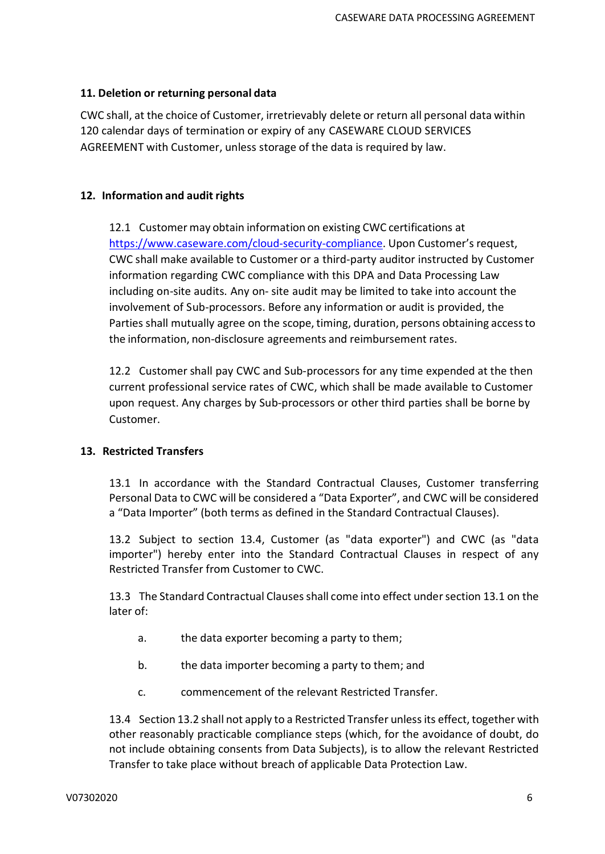## **11. Deletion or returning personal data**

CWC shall, at the choice of Customer, irretrievably delete or return all personal data within 120 calendar days of termination or expiry of any CASEWARE CLOUD SERVICES AGREEMENT with Customer, unless storage of the data is required by law.

## **12. Information and audit rights**

12.1 Customer may obtain information on existing CWC certifications at [https://www.caseware.com/cloud-security-compliance.](https://www.caseware.com/cloud-security-compliance) Upon Customer's request, CWC shall make available to Customer or a third-party auditor instructed by Customer information regarding CWC compliance with this DPA and Data Processing Law including on-site audits. Any on- site audit may be limited to take into account the involvement of Sub-processors. Before any information or audit is provided, the Parties shall mutually agree on the scope, timing, duration, persons obtaining accessto the information, non-disclosure agreements and reimbursement rates.

12.2 Customer shall pay CWC and Sub-processors for any time expended at the then current professional service rates of CWC, which shall be made available to Customer upon request. Any charges by Sub-processors or other third parties shall be borne by Customer.

## **13. Restricted Transfers**

13.1 In accordance with the Standard Contractual Clauses, Customer transferring Personal Data to CWC will be considered a "Data Exporter", and CWC will be considered a "Data Importer" (both terms as defined in the Standard Contractual Clauses).

13.2 Subject to section 13.4, Customer (as "data exporter") and CWC (as "data importer") hereby enter into the Standard Contractual Clauses in respect of any Restricted Transfer from Customer to CWC.

13.3 The Standard Contractual Clauses shall come into effect under section 13.1 on the later of:

- a. the data exporter becoming a party to them;
- b. the data importer becoming a party to them; and
- c. commencement of the relevant Restricted Transfer.

13.4 Section 13.2 shall not apply to a Restricted Transfer unless its effect, together with other reasonably practicable compliance steps (which, for the avoidance of doubt, do not include obtaining consents from Data Subjects), is to allow the relevant Restricted Transfer to take place without breach of applicable Data Protection Law.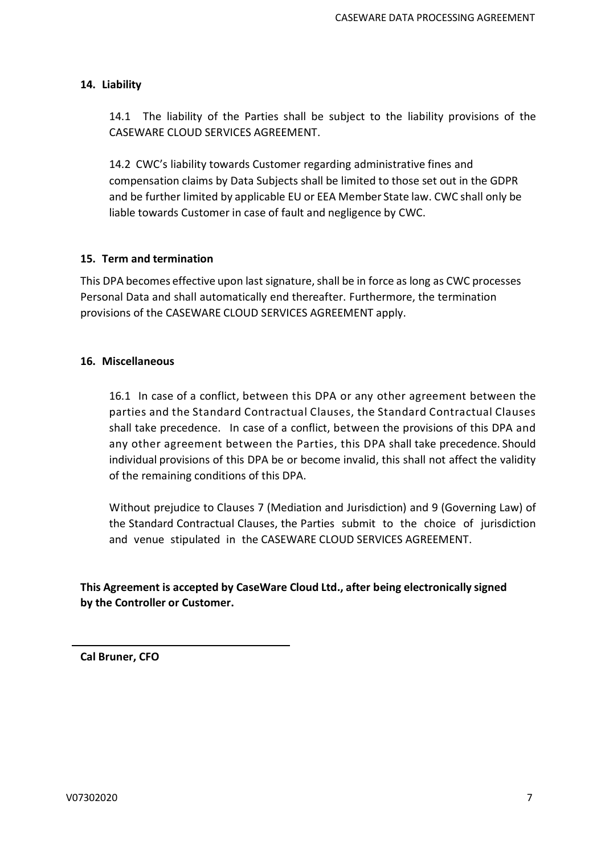## **14. Liability**

14.1 The liability of the Parties shall be subject to the liability provisions of the CASEWARE CLOUD SERVICES AGREEMENT.

14.2 CWC's liability towards Customer regarding administrative fines and compensation claims by Data Subjects shall be limited to those set out in the GDPR and be further limited by applicable EU or EEA Member State law. CWC shall only be liable towards Customer in case of fault and negligence by CWC.

## **15. Term and termination**

This DPA becomes effective upon last signature, shall be in force as long as CWC processes Personal Data and shall automatically end thereafter. Furthermore, the termination provisions of the CASEWARE CLOUD SERVICES AGREEMENT apply.

#### **16. Miscellaneous**

16.1 In case of a conflict, between this DPA or any other agreement between the parties and the Standard Contractual Clauses, the Standard Contractual Clauses shall take precedence. In case of a conflict, between the provisions of this DPA and any other agreement between the Parties, this DPA shall take precedence. Should individual provisions of this DPA be or become invalid, this shall not affect the validity of the remaining conditions of this DPA.

Without prejudice to Clauses 7 (Mediation and Jurisdiction) and 9 (Governing Law) of the Standard Contractual Clauses, the Parties submit to the choice of jurisdiction and venue stipulated in the CASEWARE CLOUD SERVICES AGREEMENT.

# **This Agreement is accepted by CaseWare Cloud Ltd., after being electronically signed by the Controller or Customer.**

**Cal Bruner, CFO**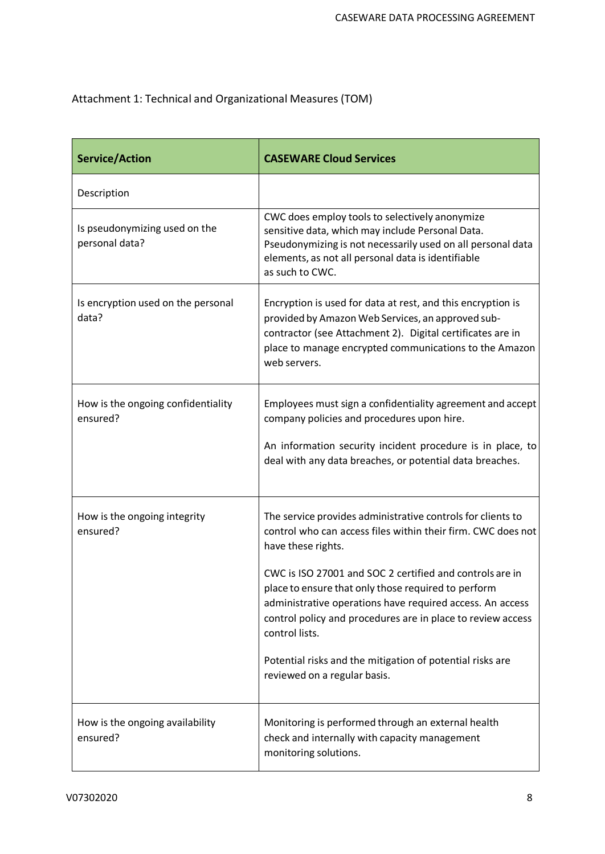# Attachment 1: Technical and Organizational Measures (TOM)

| <b>Service/Action</b>                           | <b>CASEWARE Cloud Services</b>                                                                                                                                                                                                                                                                                                                                                                                                                                                                                  |  |  |  |
|-------------------------------------------------|-----------------------------------------------------------------------------------------------------------------------------------------------------------------------------------------------------------------------------------------------------------------------------------------------------------------------------------------------------------------------------------------------------------------------------------------------------------------------------------------------------------------|--|--|--|
| Description                                     |                                                                                                                                                                                                                                                                                                                                                                                                                                                                                                                 |  |  |  |
| Is pseudonymizing used on the<br>personal data? | CWC does employ tools to selectively anonymize<br>sensitive data, which may include Personal Data.<br>Pseudonymizing is not necessarily used on all personal data<br>elements, as not all personal data is identifiable<br>as such to CWC.                                                                                                                                                                                                                                                                      |  |  |  |
| Is encryption used on the personal<br>data?     | Encryption is used for data at rest, and this encryption is<br>provided by Amazon Web Services, an approved sub-<br>contractor (see Attachment 2). Digital certificates are in<br>place to manage encrypted communications to the Amazon<br>web servers.                                                                                                                                                                                                                                                        |  |  |  |
| How is the ongoing confidentiality<br>ensured?  | Employees must sign a confidentiality agreement and accept<br>company policies and procedures upon hire.<br>An information security incident procedure is in place, to<br>deal with any data breaches, or potential data breaches.                                                                                                                                                                                                                                                                              |  |  |  |
| How is the ongoing integrity<br>ensured?        | The service provides administrative controls for clients to<br>control who can access files within their firm. CWC does not<br>have these rights.<br>CWC is ISO 27001 and SOC 2 certified and controls are in<br>place to ensure that only those required to perform<br>administrative operations have required access. An access<br>control policy and procedures are in place to review access<br>control lists.<br>Potential risks and the mitigation of potential risks are<br>reviewed on a regular basis. |  |  |  |
| How is the ongoing availability<br>ensured?     | Monitoring is performed through an external health<br>check and internally with capacity management<br>monitoring solutions.                                                                                                                                                                                                                                                                                                                                                                                    |  |  |  |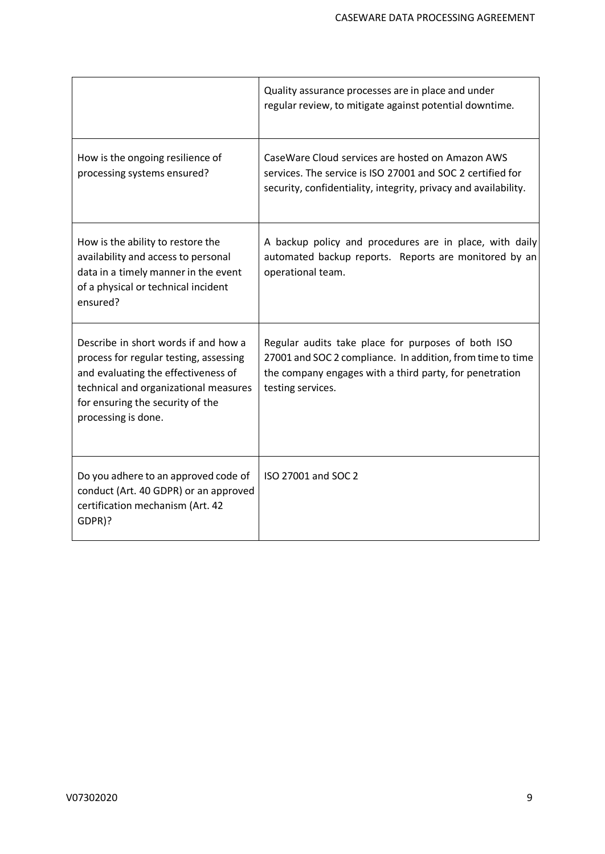|                                                                                                                                                                                                                           | Quality assurance processes are in place and under<br>regular review, to mitigate against potential downtime.                                                                                    |
|---------------------------------------------------------------------------------------------------------------------------------------------------------------------------------------------------------------------------|--------------------------------------------------------------------------------------------------------------------------------------------------------------------------------------------------|
| How is the ongoing resilience of<br>processing systems ensured?                                                                                                                                                           | CaseWare Cloud services are hosted on Amazon AWS<br>services. The service is ISO 27001 and SOC 2 certified for<br>security, confidentiality, integrity, privacy and availability.                |
| How is the ability to restore the<br>availability and access to personal<br>data in a timely manner in the event<br>of a physical or technical incident<br>ensured?                                                       | A backup policy and procedures are in place, with daily<br>automated backup reports. Reports are monitored by an<br>operational team.                                                            |
| Describe in short words if and how a<br>process for regular testing, assessing<br>and evaluating the effectiveness of<br>technical and organizational measures<br>for ensuring the security of the<br>processing is done. | Regular audits take place for purposes of both ISO<br>27001 and SOC 2 compliance. In addition, from time to time<br>the company engages with a third party, for penetration<br>testing services. |
| Do you adhere to an approved code of<br>conduct (Art. 40 GDPR) or an approved<br>certification mechanism (Art. 42<br>GDPR)?                                                                                               | ISO 27001 and SOC 2                                                                                                                                                                              |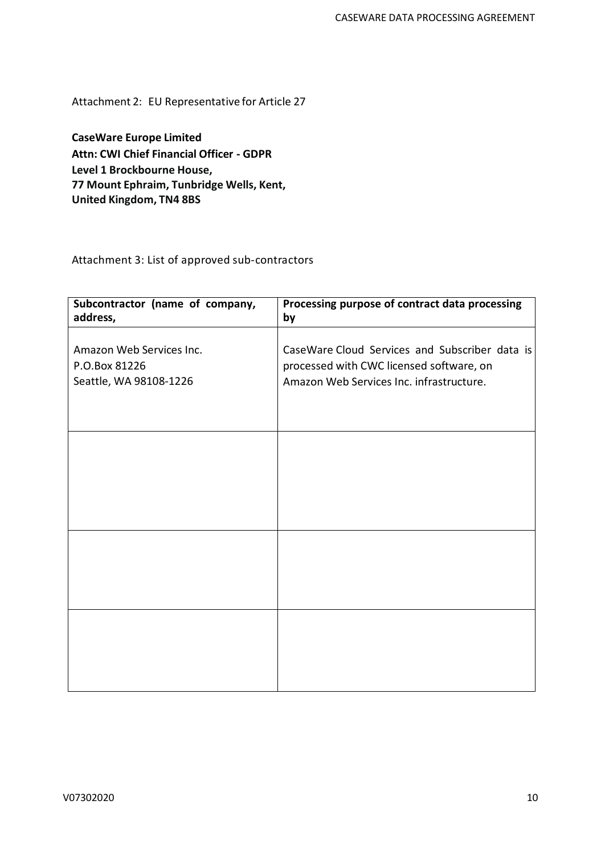Attachment 2: EU Representative for Article 27

**CaseWare Europe Limited Attn: CWI Chief Financial Officer - GDPR Level 1 Brockbourne House, 77 Mount Ephraim, Tunbridge Wells, Kent, United Kingdom, TN4 8BS**

Attachment 3: List of approved sub-contractors

| Subcontractor (name of company,<br>address, | Processing purpose of contract data processing<br>by |  |  |  |
|---------------------------------------------|------------------------------------------------------|--|--|--|
|                                             |                                                      |  |  |  |
| Amazon Web Services Inc.                    | CaseWare Cloud Services and Subscriber data is       |  |  |  |
| P.O.Box 81226                               | processed with CWC licensed software, on             |  |  |  |
| Seattle, WA 98108-1226                      | Amazon Web Services Inc. infrastructure.             |  |  |  |
|                                             |                                                      |  |  |  |
|                                             |                                                      |  |  |  |
|                                             |                                                      |  |  |  |
|                                             |                                                      |  |  |  |
|                                             |                                                      |  |  |  |
|                                             |                                                      |  |  |  |
|                                             |                                                      |  |  |  |
|                                             |                                                      |  |  |  |
|                                             |                                                      |  |  |  |
|                                             |                                                      |  |  |  |
|                                             |                                                      |  |  |  |
|                                             |                                                      |  |  |  |
|                                             |                                                      |  |  |  |
|                                             |                                                      |  |  |  |
|                                             |                                                      |  |  |  |
|                                             |                                                      |  |  |  |
|                                             |                                                      |  |  |  |
|                                             |                                                      |  |  |  |
|                                             |                                                      |  |  |  |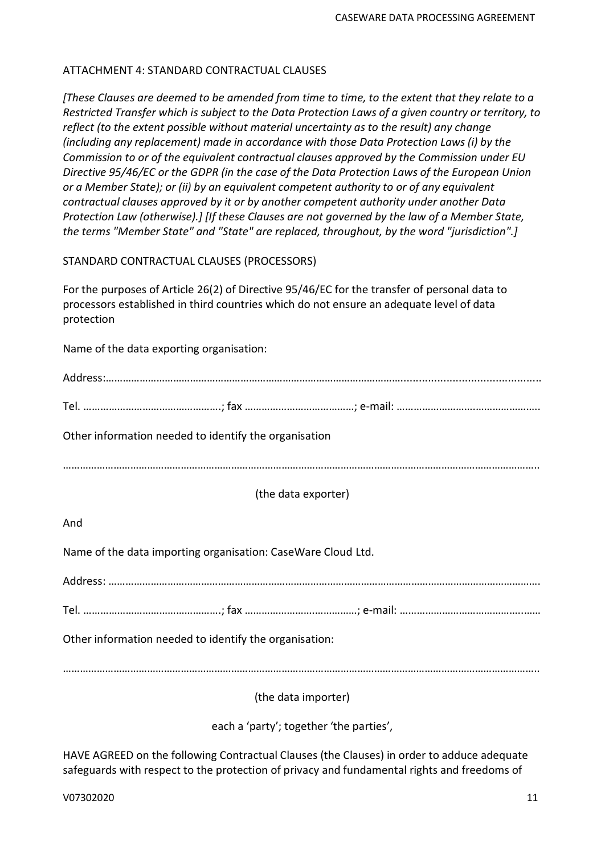## ATTACHMENT 4: STANDARD CONTRACTUAL CLAUSES

*[These Clauses are deemed to be amended from time to time, to the extent that they relate to a Restricted Transfer which is subject to the Data Protection Laws of a given country or territory, to reflect (to the extent possible without material uncertainty as to the result) any change (including any replacement) made in accordance with those Data Protection Laws (i) by the Commission to or of the equivalent contractual clauses approved by the Commission under EU Directive 95/46/EC or the GDPR (in the case of the Data Protection Laws of the European Union or a Member State); or (ii) by an equivalent competent authority to or of any equivalent contractual clauses approved by it or by another competent authority under another Data Protection Law (otherwise).] [If these Clauses are not governed by the law of a Member State, the terms "Member State" and "State" are replaced, throughout, by the word "jurisdiction".]*

#### STANDARD CONTRACTUAL CLAUSES (PROCESSORS)

For the purposes of Article 26(2) of Directive 95/46/EC for the transfer of personal data to processors established in third countries which do not ensure an adequate level of data protection

Name of the data exporting organisation:

| Other information needed to identify the organisation        |  |  |  |  |  |
|--------------------------------------------------------------|--|--|--|--|--|
|                                                              |  |  |  |  |  |
| (the data exporter)                                          |  |  |  |  |  |
| And                                                          |  |  |  |  |  |
| Name of the data importing organisation: CaseWare Cloud Ltd. |  |  |  |  |  |
|                                                              |  |  |  |  |  |
|                                                              |  |  |  |  |  |
| Other information needed to identify the organisation:       |  |  |  |  |  |
|                                                              |  |  |  |  |  |
| (the data importer)                                          |  |  |  |  |  |

each a 'party'; together 'the parties',

HAVE AGREED on the following Contractual Clauses (the Clauses) in order to adduce adequate safeguards with respect to the protection of privacy and fundamental rights and freedoms of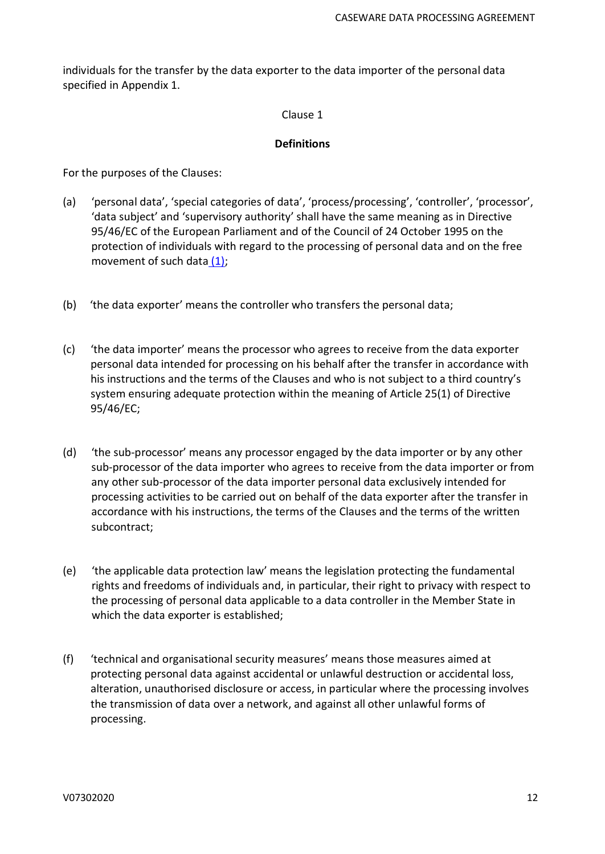individuals for the transfer by the data exporter to the data importer of the personal data specified in Appendix 1.

#### Clause 1

#### **Definitions**

For the purposes of the Clauses:

- (a) 'personal data', 'special categories of data', 'process/processing', 'controller', 'processor', 'data subject' and 'supervisory authority' shall have the same meaning as in Directive 95/46/EC of the European Parliament and of the Council of 24 October 1995 on the protection of individuals with regard to the processing of personal data and on the free movement of such data [\(1\);](https://eur-lex.europa.eu/legal-content/en/TXT/?uri=CELEX%3A32010D0087#ntr1-L_2010039EN.01001001-E0001)
- (b) 'the data exporter' means the controller who transfers the personal data;
- (c) 'the data importer' means the processor who agrees to receive from the data exporter personal data intended for processing on his behalf after the transfer in accordance with his instructions and the terms of the Clauses and who is not subject to a third country's system ensuring adequate protection within the meaning of Article 25(1) of Directive 95/46/EC;
- (d) 'the sub-processor' means any processor engaged by the data importer or by any other sub-processor of the data importer who agrees to receive from the data importer or from any other sub-processor of the data importer personal data exclusively intended for processing activities to be carried out on behalf of the data exporter after the transfer in accordance with his instructions, the terms of the Clauses and the terms of the written subcontract;
- (e) 'the applicable data protection law' means the legislation protecting the fundamental rights and freedoms of individuals and, in particular, their right to privacy with respect to the processing of personal data applicable to a data controller in the Member State in which the data exporter is established;
- (f) 'technical and organisational security measures' means those measures aimed at protecting personal data against accidental or unlawful destruction or accidental loss, alteration, unauthorised disclosure or access, in particular where the processing involves the transmission of data over a network, and against all other unlawful forms of processing.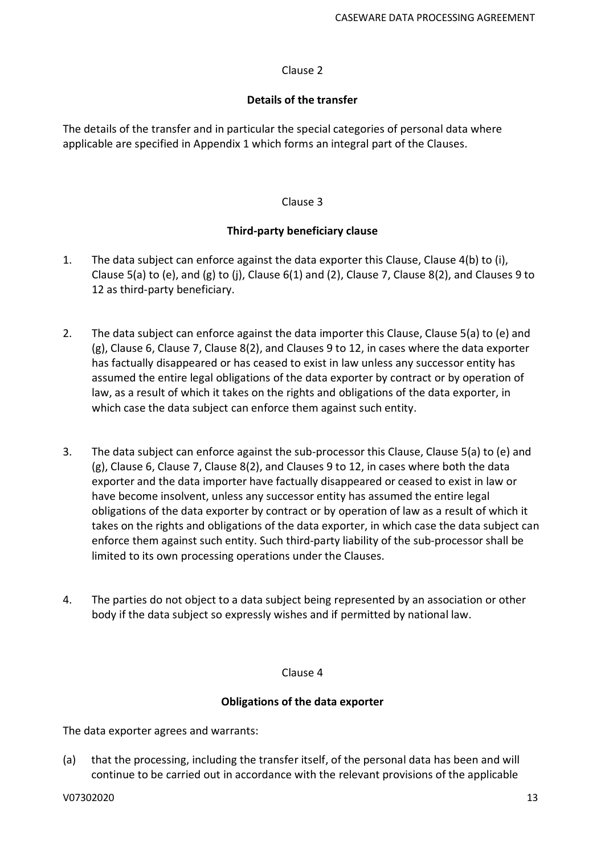## Clause 2

## **Details of the transfer**

The details of the transfer and in particular the special categories of personal data where applicable are specified in Appendix 1 which forms an integral part of the Clauses.

## Clause 3

## **Third-party beneficiary clause**

- 1. The data subject can enforce against the data exporter this Clause, Clause 4(b) to (i), Clause 5(a) to (e), and (g) to (j), Clause 6(1) and (2), Clause 7, Clause 8(2), and Clauses 9 to 12 as third-party beneficiary.
- 2. The data subject can enforce against the data importer this Clause, Clause 5(a) to (e) and (g), Clause 6, Clause 7, Clause 8(2), and Clauses 9 to 12, in cases where the data exporter has factually disappeared or has ceased to exist in law unless any successor entity has assumed the entire legal obligations of the data exporter by contract or by operation of law, as a result of which it takes on the rights and obligations of the data exporter, in which case the data subject can enforce them against such entity.
- 3. The data subject can enforce against the sub-processor this Clause, Clause 5(a) to (e) and (g), Clause 6, Clause 7, Clause 8(2), and Clauses 9 to 12, in cases where both the data exporter and the data importer have factually disappeared or ceased to exist in law or have become insolvent, unless any successor entity has assumed the entire legal obligations of the data exporter by contract or by operation of law as a result of which it takes on the rights and obligations of the data exporter, in which case the data subject can enforce them against such entity. Such third-party liability of the sub-processor shall be limited to its own processing operations under the Clauses.
- 4. The parties do not object to a data subject being represented by an association or other body if the data subject so expressly wishes and if permitted by national law.

## Clause 4

## **Obligations of the data exporter**

The data exporter agrees and warrants:

(a) that the processing, including the transfer itself, of the personal data has been and will continue to be carried out in accordance with the relevant provisions of the applicable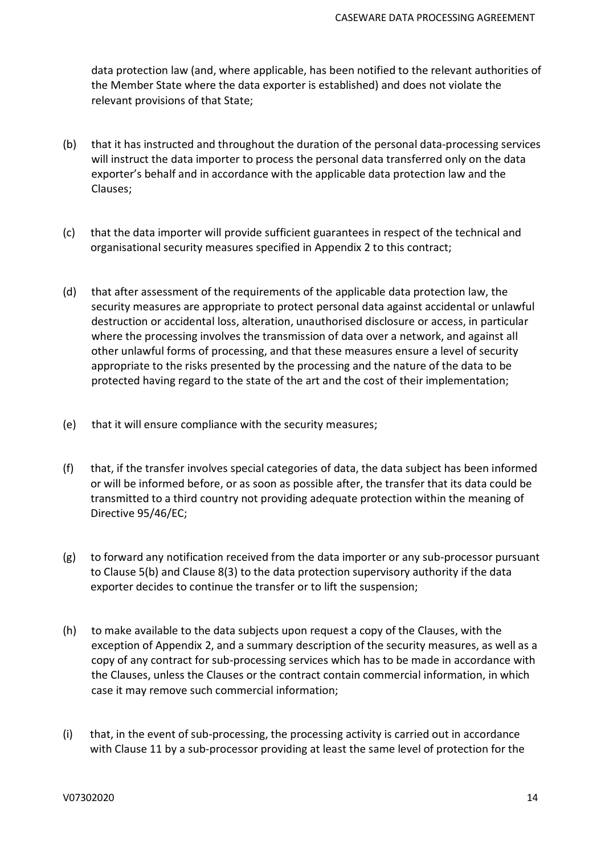data protection law (and, where applicable, has been notified to the relevant authorities of the Member State where the data exporter is established) and does not violate the relevant provisions of that State;

- (b) that it has instructed and throughout the duration of the personal data-processing services will instruct the data importer to process the personal data transferred only on the data exporter's behalf and in accordance with the applicable data protection law and the Clauses;
- (c) that the data importer will provide sufficient guarantees in respect of the technical and organisational security measures specified in Appendix 2 to this contract;
- (d) that after assessment of the requirements of the applicable data protection law, the security measures are appropriate to protect personal data against accidental or unlawful destruction or accidental loss, alteration, unauthorised disclosure or access, in particular where the processing involves the transmission of data over a network, and against all other unlawful forms of processing, and that these measures ensure a level of security appropriate to the risks presented by the processing and the nature of the data to be protected having regard to the state of the art and the cost of their implementation;
- (e) that it will ensure compliance with the security measures;
- (f) that, if the transfer involves special categories of data, the data subject has been informed or will be informed before, or as soon as possible after, the transfer that its data could be transmitted to a third country not providing adequate protection within the meaning of Directive 95/46/EC;
- (g) to forward any notification received from the data importer or any sub-processor pursuant to Clause 5(b) and Clause 8(3) to the data protection supervisory authority if the data exporter decides to continue the transfer or to lift the suspension;
- (h) to make available to the data subjects upon request a copy of the Clauses, with the exception of Appendix 2, and a summary description of the security measures, as well as a copy of any contract for sub-processing services which has to be made in accordance with the Clauses, unless the Clauses or the contract contain commercial information, in which case it may remove such commercial information;
- (i) that, in the event of sub-processing, the processing activity is carried out in accordance with Clause 11 by a sub-processor providing at least the same level of protection for the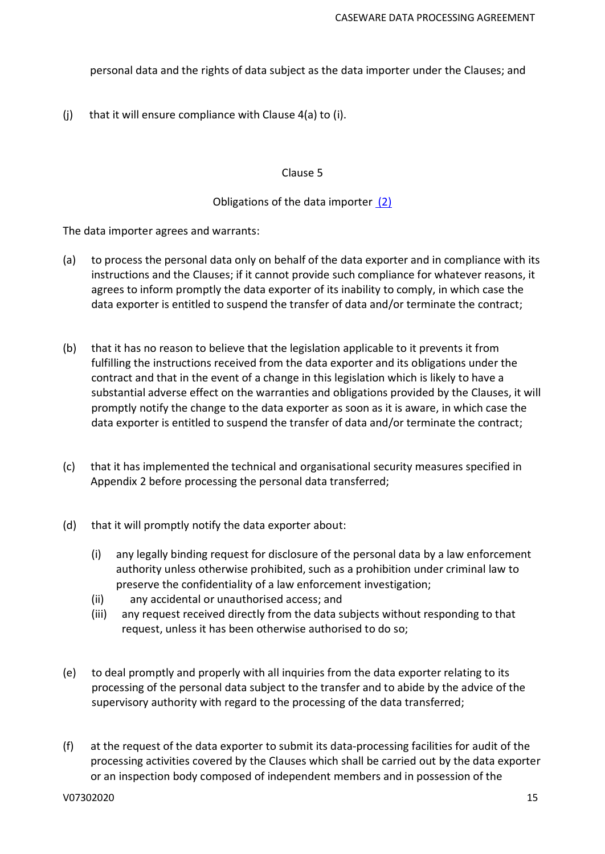personal data and the rights of data subject as the data importer under the Clauses; and

(i) that it will ensure compliance with Clause  $4(a)$  to (i).

#### Clause 5

#### Obligations of the data importer [\(2\)](https://eur-lex.europa.eu/legal-content/en/TXT/?uri=CELEX%3A32010D0087#ntr2-L_2010039EN.01001001-E0002)

The data importer agrees and warrants:

- (a) to process the personal data only on behalf of the data exporter and in compliance with its instructions and the Clauses; if it cannot provide such compliance for whatever reasons, it agrees to inform promptly the data exporter of its inability to comply, in which case the data exporter is entitled to suspend the transfer of data and/or terminate the contract;
- (b) that it has no reason to believe that the legislation applicable to it prevents it from fulfilling the instructions received from the data exporter and its obligations under the contract and that in the event of a change in this legislation which is likely to have a substantial adverse effect on the warranties and obligations provided by the Clauses, it will promptly notify the change to the data exporter as soon as it is aware, in which case the data exporter is entitled to suspend the transfer of data and/or terminate the contract;
- (c) that it has implemented the technical and organisational security measures specified in Appendix 2 before processing the personal data transferred;
- (d) that it will promptly notify the data exporter about:
	- (i) any legally binding request for disclosure of the personal data by a law enforcement authority unless otherwise prohibited, such as a prohibition under criminal law to preserve the confidentiality of a law enforcement investigation;
	- (ii) any accidental or unauthorised access; and
	- (iii) any request received directly from the data subjects without responding to that request, unless it has been otherwise authorised to do so;
- (e) to deal promptly and properly with all inquiries from the data exporter relating to its processing of the personal data subject to the transfer and to abide by the advice of the supervisory authority with regard to the processing of the data transferred;
- (f) at the request of the data exporter to submit its data-processing facilities for audit of the processing activities covered by the Clauses which shall be carried out by the data exporter or an inspection body composed of independent members and in possession of the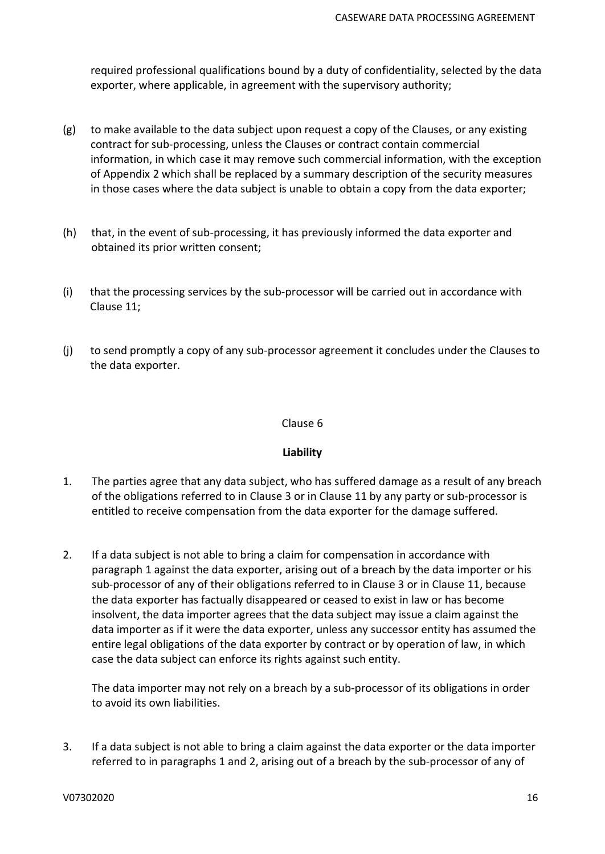required professional qualifications bound by a duty of confidentiality, selected by the data exporter, where applicable, in agreement with the supervisory authority;

- (g) to make available to the data subject upon request a copy of the Clauses, or any existing contract for sub-processing, unless the Clauses or contract contain commercial information, in which case it may remove such commercial information, with the exception of Appendix 2 which shall be replaced by a summary description of the security measures in those cases where the data subject is unable to obtain a copy from the data exporter;
- (h) that, in the event of sub-processing, it has previously informed the data exporter and obtained its prior written consent;
- (i) that the processing services by the sub-processor will be carried out in accordance with Clause 11;
- (j) to send promptly a copy of any sub-processor agreement it concludes under the Clauses to the data exporter.

#### Clause 6

## **Liability**

- 1. The parties agree that any data subject, who has suffered damage as a result of any breach of the obligations referred to in Clause 3 or in Clause 11 by any party or sub-processor is entitled to receive compensation from the data exporter for the damage suffered.
- 2. If a data subject is not able to bring a claim for compensation in accordance with paragraph 1 against the data exporter, arising out of a breach by the data importer or his sub-processor of any of their obligations referred to in Clause 3 or in Clause 11, because the data exporter has factually disappeared or ceased to exist in law or has become insolvent, the data importer agrees that the data subject may issue a claim against the data importer as if it were the data exporter, unless any successor entity has assumed the entire legal obligations of the data exporter by contract or by operation of law, in which case the data subject can enforce its rights against such entity.

The data importer may not rely on a breach by a sub-processor of its obligations in order to avoid its own liabilities.

3. If a data subject is not able to bring a claim against the data exporter or the data importer referred to in paragraphs 1 and 2, arising out of a breach by the sub-processor of any of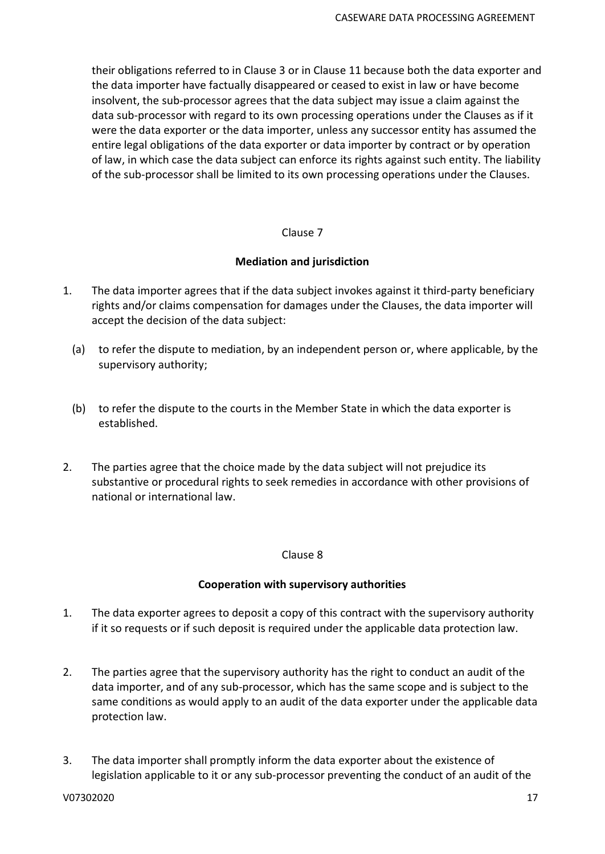their obligations referred to in Clause 3 or in Clause 11 because both the data exporter and the data importer have factually disappeared or ceased to exist in law or have become insolvent, the sub-processor agrees that the data subject may issue a claim against the data sub-processor with regard to its own processing operations under the Clauses as if it were the data exporter or the data importer, unless any successor entity has assumed the entire legal obligations of the data exporter or data importer by contract or by operation of law, in which case the data subject can enforce its rights against such entity. The liability of the sub-processor shall be limited to its own processing operations under the Clauses.

#### Clause 7

#### **Mediation and jurisdiction**

- 1. The data importer agrees that if the data subject invokes against it third-party beneficiary rights and/or claims compensation for damages under the Clauses, the data importer will accept the decision of the data subject:
	- (a) to refer the dispute to mediation, by an independent person or, where applicable, by the supervisory authority;
	- (b) to refer the dispute to the courts in the Member State in which the data exporter is established.
- 2. The parties agree that the choice made by the data subject will not prejudice its substantive or procedural rights to seek remedies in accordance with other provisions of national or international law.

#### Clause 8

## **Cooperation with supervisory authorities**

- 1. The data exporter agrees to deposit a copy of this contract with the supervisory authority if it so requests or if such deposit is required under the applicable data protection law.
- 2. The parties agree that the supervisory authority has the right to conduct an audit of the data importer, and of any sub-processor, which has the same scope and is subject to the same conditions as would apply to an audit of the data exporter under the applicable data protection law.
- 3. The data importer shall promptly inform the data exporter about the existence of legislation applicable to it or any sub-processor preventing the conduct of an audit of the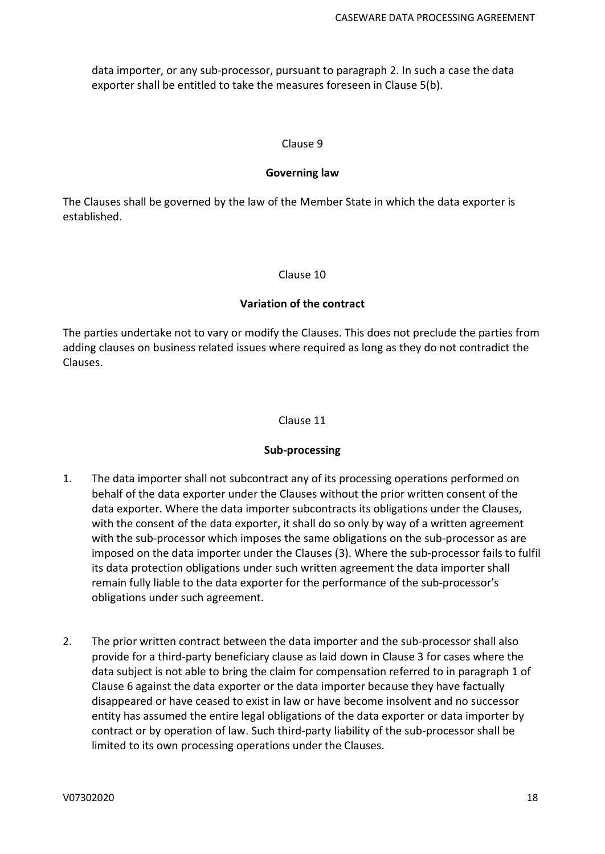data importer, or any sub-processor, pursuant to paragraph 2. In such a case the data exporter shall be entitled to take the measures foreseen in Clause 5(b).

#### Clause 9

#### **Governing law**

The Clauses shall be governed by the law of the Member State in which the data exporter is established.

#### Clause 10

#### **Variation of the contract**

The parties undertake not to vary or modify the Clauses. This does not preclude the parties from adding clauses on business related issues where required as long as they do not contradict the Clauses.

#### Clause 11

#### **Sub-processing**

- 1. The data importer shall not subcontract any of its processing operations performed on behalf of the data exporter under the Clauses without the prior written consent of the data exporter. Where the data importer subcontracts its obligations under the Clauses, with the consent of the data exporter, it shall do so only by way of a written agreement with the sub-processor which imposes the same obligations on the sub-processor as are imposed on the data importer under the Clauses (3). Where the sub-processor fails to fulfil its data protection obligations under such written agreement the data importer shall remain fully liable to the data exporter for the performance of the sub-processor's obligations under such agreement.
- 2. The prior written contract between the data importer and the sub-processor shall also provide for a third-party beneficiary clause as laid down in Clause 3 for cases where the data subject is not able to bring the claim for compensation referred to in paragraph 1 of Clause 6 against the data exporter or the data importer because they have factually disappeared or have ceased to exist in law or have become insolvent and no successor entity has assumed the entire legal obligations of the data exporter or data importer by contract or by operation of law. Such third-party liability of the sub-processor shall be limited to its own processing operations under the Clauses.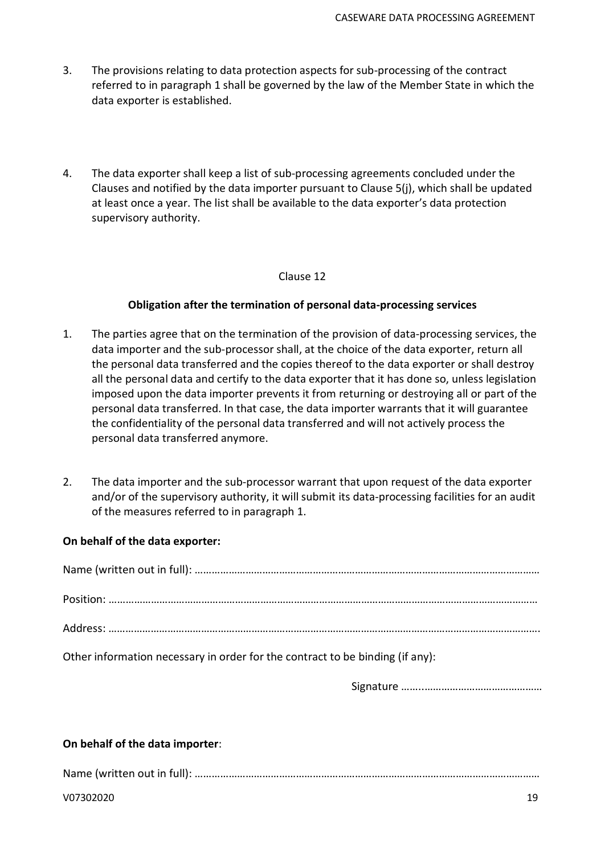- 3. The provisions relating to data protection aspects for sub-processing of the contract referred to in paragraph 1 shall be governed by the law of the Member State in which the data exporter is established.
- 4. The data exporter shall keep a list of sub-processing agreements concluded under the Clauses and notified by the data importer pursuant to Clause 5(j), which shall be updated at least once a year. The list shall be available to the data exporter's data protection supervisory authority.

#### Clause 12

## **Obligation after the termination of personal data-processing services**

- 1. The parties agree that on the termination of the provision of data-processing services, the data importer and the sub-processor shall, at the choice of the data exporter, return all the personal data transferred and the copies thereof to the data exporter or shall destroy all the personal data and certify to the data exporter that it has done so, unless legislation imposed upon the data importer prevents it from returning or destroying all or part of the personal data transferred. In that case, the data importer warrants that it will guarantee the confidentiality of the personal data transferred and will not actively process the personal data transferred anymore.
- 2. The data importer and the sub-processor warrant that upon request of the data exporter and/or of the supervisory authority, it will submit its data-processing facilities for an audit of the measures referred to in paragraph 1.

#### **On behalf of the data exporter:**

| Other information necessary in order for the contract to be binding (if any): |
|-------------------------------------------------------------------------------|

Signature ……..……………………………………

## **On behalf of the data importer**:

Name (written out in full): ……………………………………………………………………………………………………………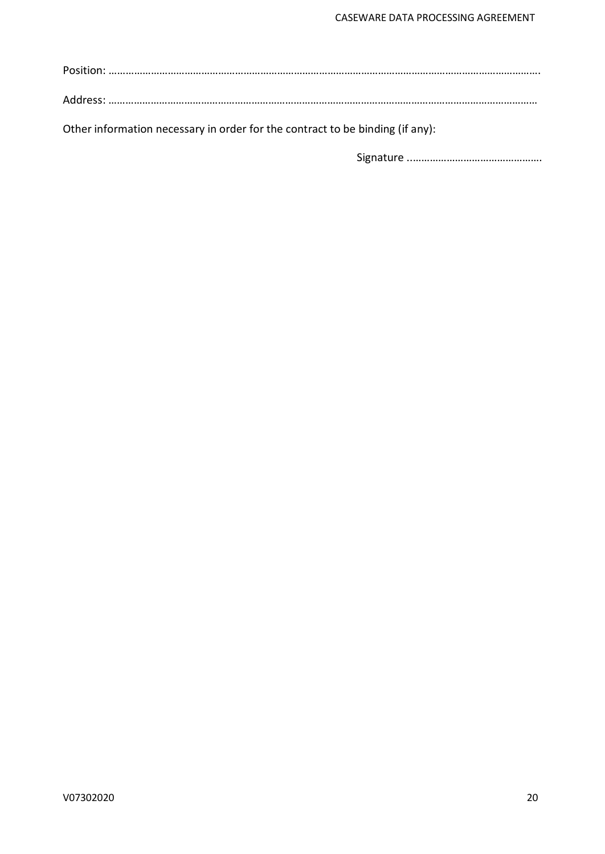Address: ………………………………………………………………………………………………………………………………………

Other information necessary in order for the contract to be binding (if any):

Signature ..……………………………………….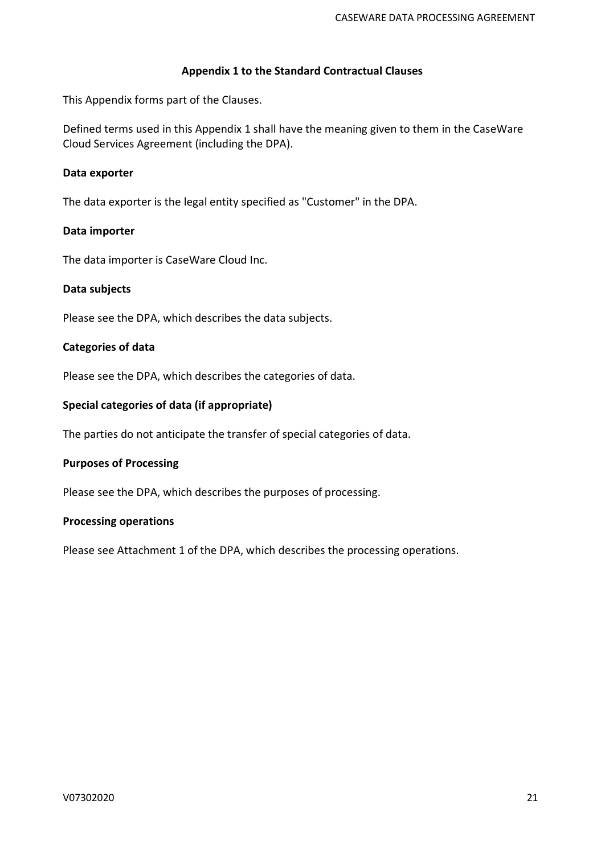#### **Appendix 1 to the Standard Contractual Clauses**

This Appendix forms part of the Clauses.

Defined terms used in this Appendix 1 shall have the meaning given to them in the CaseWare Cloud Services Agreement (including the DPA).

## **Data exporter**

The data exporter is the legal entity specified as "Customer" in the DPA.

#### **Data importer**

The data importer is CaseWare Cloud Inc.

#### **Data subjects**

Please see the DPA, which describes the data subjects.

#### **Categories of data**

Please see the DPA, which describes the categories of data.

#### **Special categories of data (if appropriate)**

The parties do not anticipate the transfer of special categories of data.

## **Purposes of Processing**

Please see the DPA, which describes the purposes of processing.

#### **Processing operations**

Please see Attachment 1 of the DPA, which describes the processing operations.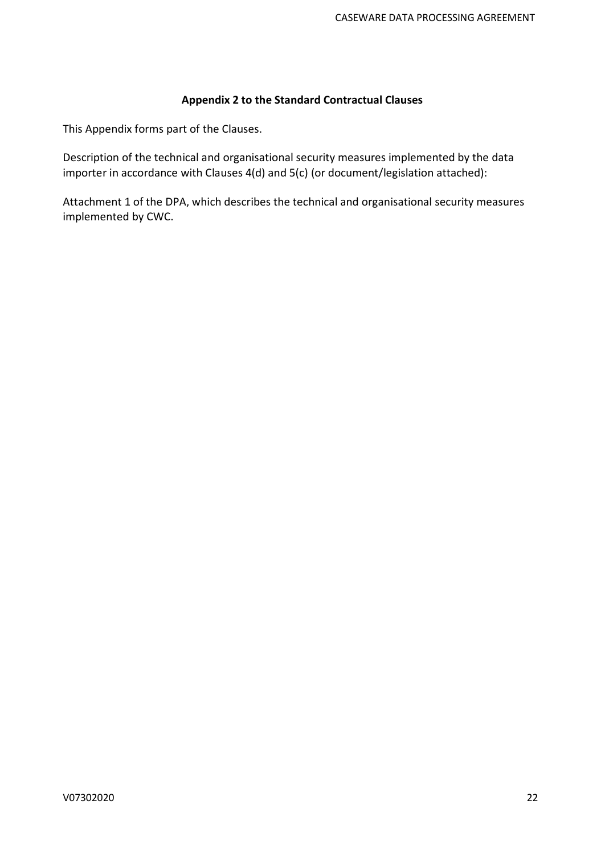# **Appendix 2 to the Standard Contractual Clauses**

This Appendix forms part of the Clauses.

Description of the technical and organisational security measures implemented by the data importer in accordance with Clauses 4(d) and 5(c) (or document/legislation attached):

Attachment 1 of the DPA, which describes the technical and organisational security measures implemented by CWC.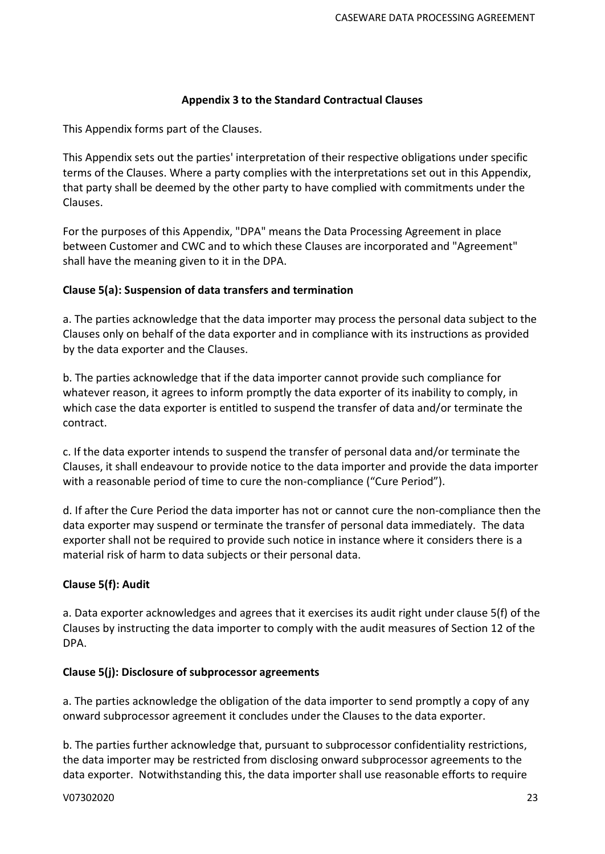## **Appendix 3 to the Standard Contractual Clauses**

This Appendix forms part of the Clauses.

This Appendix sets out the parties' interpretation of their respective obligations under specific terms of the Clauses. Where a party complies with the interpretations set out in this Appendix, that party shall be deemed by the other party to have complied with commitments under the Clauses.

For the purposes of this Appendix, "DPA" means the Data Processing Agreement in place between Customer and CWC and to which these Clauses are incorporated and "Agreement" shall have the meaning given to it in the DPA.

## **Clause 5(a): Suspension of data transfers and termination**

a. The parties acknowledge that the data importer may process the personal data subject to the Clauses only on behalf of the data exporter and in compliance with its instructions as provided by the data exporter and the Clauses.

b. The parties acknowledge that if the data importer cannot provide such compliance for whatever reason, it agrees to inform promptly the data exporter of its inability to comply, in which case the data exporter is entitled to suspend the transfer of data and/or terminate the contract.

c. If the data exporter intends to suspend the transfer of personal data and/or terminate the Clauses, it shall endeavour to provide notice to the data importer and provide the data importer with a reasonable period of time to cure the non-compliance ("Cure Period").

d. If after the Cure Period the data importer has not or cannot cure the non-compliance then the data exporter may suspend or terminate the transfer of personal data immediately. The data exporter shall not be required to provide such notice in instance where it considers there is a material risk of harm to data subjects or their personal data.

## **Clause 5(f): Audit**

a. Data exporter acknowledges and agrees that it exercises its audit right under clause 5(f) of the Clauses by instructing the data importer to comply with the audit measures of Section 12 of the DPA.

## **Clause 5(j): Disclosure of subprocessor agreements**

a. The parties acknowledge the obligation of the data importer to send promptly a copy of any onward subprocessor agreement it concludes under the Clauses to the data exporter.

b. The parties further acknowledge that, pursuant to subprocessor confidentiality restrictions, the data importer may be restricted from disclosing onward subprocessor agreements to the data exporter. Notwithstanding this, the data importer shall use reasonable efforts to require